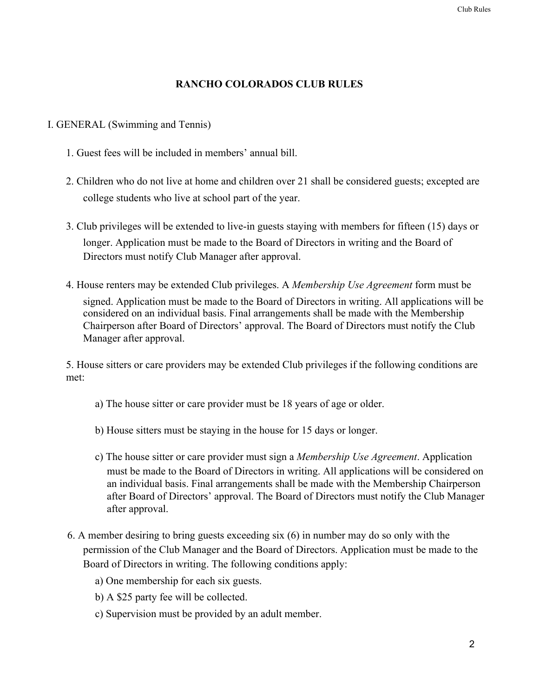## **RANCHO COLORADOS CLUB RULES**

#### I. GENERAL (Swimming and Tennis)

- 1. Guest fees will be included in members' annual bill.
- 2. Children who do not live at home and children over 21 shall be considered guests; excepted are college students who live at school part of the year.
- 3. Club privileges will be extended to live-in guests staying with members for fifteen (15) days or longer. Application must be made to the Board of Directors in writing and the Board of Directors must notify Club Manager after approval.
- 4. House renters may be extended Club privileges. A *Membership Use Agreement* form must be signed. Application must be made to the Board of Directors in writing. All applications will be considered on an individual basis. Final arrangements shall be made with the Membership Chairperson after Board of Directors' approval. The Board of Directors must notify the Club Manager after approval.

5. House sitters or care providers may be extended Club privileges if the following conditions are met:

- a) The house sitter or care provider must be 18 years of age or older.
- b) House sitters must be staying in the house for 15 days or longer.
- c) The house sitter or care provider must sign a *Membership Use Agreement*. Application must be made to the Board of Directors in writing. All applications will be considered on an individual basis. Final arrangements shall be made with the Membership Chairperson after Board of Directors' approval. The Board of Directors must notify the Club Manager after approval.
- 6. A member desiring to bring guests exceeding six (6) in number may do so only with the permission of the Club Manager and the Board of Directors. Application must be made to the Board of Directors in writing. The following conditions apply:
	- a) One membership for each six guests.
	- b) A \$25 party fee will be collected.
	- c) Supervision must be provided by an adult member.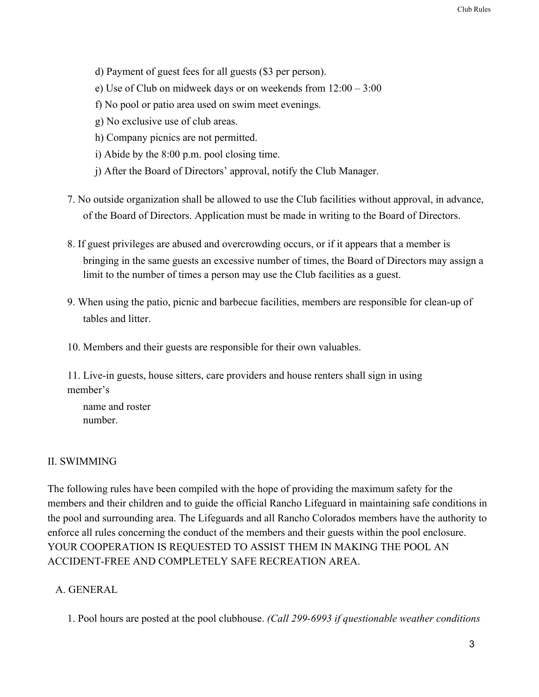- d) Payment of guest fees for all guests (\$3 per person).
- e) Use of Club on midweek days or on weekends from 12:00 3:00
- f) No pool or patio area used on swim meet evenings.
- g) No exclusive use of club areas.
- h) Company picnics are not permitted.
- i) Abide by the 8:00 p.m. pool closing time.
- j) After the Board of Directors' approval, notify the Club Manager.
- 7. No outside organization shall be allowed to use the Club facilities without approval, in advance, of the Board of Directors. Application must be made in writing to the Board of Directors.
- 8. If guest privileges are abused and overcrowding occurs, or if it appears that a member is bringing in the same guests an excessive number of times, the Board of Directors may assign a limit to the number of times a person may use the Club facilities as a guest.
- 9. When using the patio, picnic and barbecue facilities, members are responsible for clean-up of tables and litter.
- 10. Members and their guests are responsible for their own valuables.

11. Live-in guests, house sitters, care providers and house renters shall sign in using member's

name and roster number.

## II. SWIMMING

The following rules have been compiled with the hope of providing the maximum safety for the members and their children and to guide the official Rancho Lifeguard in maintaining safe conditions in the pool and surrounding area. The Lifeguards and all Rancho Colorados members have the authority to enforce all rules concerning the conduct of the members and their guests within the pool enclosure. YOUR COOPERATION IS REQUESTED TO ASSIST THEM IN MAKING THE POOL AN ACCIDENT-FREE AND COMPLETELY SAFE RECREATION AREA.

## A. GENERAL

1. Pool hours are posted at the pool clubhouse. *(Call 299-6993 if questionable weather conditions*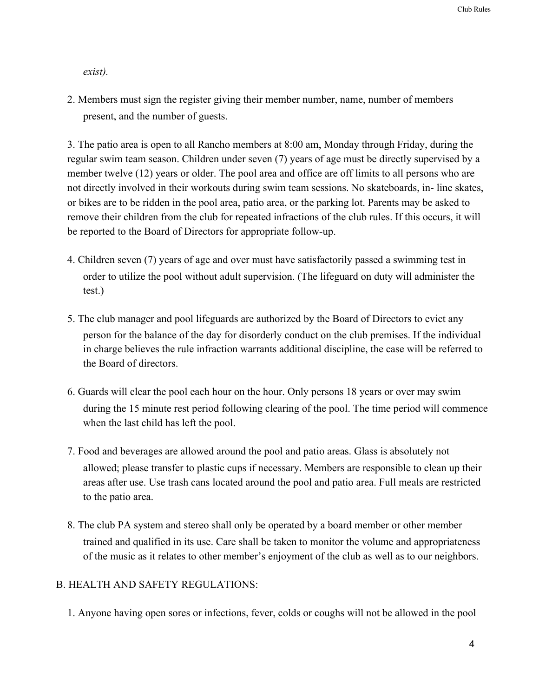*exist).*

2. Members must sign the register giving their member number, name, number of members present, and the number of guests.

3. The patio area is open to all Rancho members at 8:00 am, Monday through Friday, during the regular swim team season. Children under seven (7) years of age must be directly supervised by a member twelve (12) years or older. The pool area and office are off limits to all persons who are not directly involved in their workouts during swim team sessions. No skateboards, in- line skates, or bikes are to be ridden in the pool area, patio area, or the parking lot. Parents may be asked to remove their children from the club for repeated infractions of the club rules. If this occurs, it will be reported to the Board of Directors for appropriate follow-up.

- 4. Children seven (7) years of age and over must have satisfactorily passed a swimming test in order to utilize the pool without adult supervision. (The lifeguard on duty will administer the test.)
- 5. The club manager and pool lifeguards are authorized by the Board of Directors to evict any person for the balance of the day for disorderly conduct on the club premises. If the individual in charge believes the rule infraction warrants additional discipline, the case will be referred to the Board of directors.
- 6. Guards will clear the pool each hour on the hour. Only persons 18 years or over may swim during the 15 minute rest period following clearing of the pool. The time period will commence when the last child has left the pool.
- 7. Food and beverages are allowed around the pool and patio areas. Glass is absolutely not allowed; please transfer to plastic cups if necessary. Members are responsible to clean up their areas after use. Use trash cans located around the pool and patio area. Full meals are restricted to the patio area.
- 8. The club PA system and stereo shall only be operated by a board member or other member trained and qualified in its use. Care shall be taken to monitor the volume and appropriateness of the music as it relates to other member's enjoyment of the club as well as to our neighbors.

#### B. HEALTH AND SAFETY REGULATIONS:

1. Anyone having open sores or infections, fever, colds or coughs will not be allowed in the pool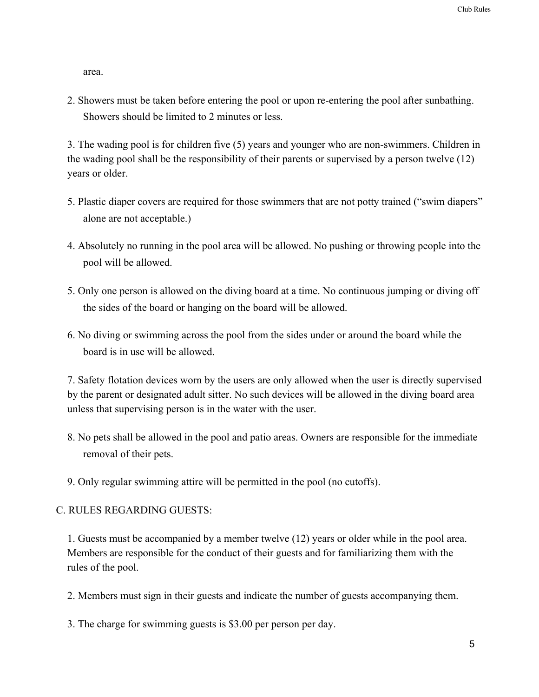area.

2. Showers must be taken before entering the pool or upon re-entering the pool after sunbathing. Showers should be limited to 2 minutes or less.

3. The wading pool is for children five (5) years and younger who are non-swimmers. Children in the wading pool shall be the responsibility of their parents or supervised by a person twelve (12) years or older.

- 5. Plastic diaper covers are required for those swimmers that are not potty trained ("swim diapers" alone are not acceptable.)
- 4. Absolutely no running in the pool area will be allowed. No pushing or throwing people into the pool will be allowed.
- 5. Only one person is allowed on the diving board at a time. No continuous jumping or diving off the sides of the board or hanging on the board will be allowed.
- 6. No diving or swimming across the pool from the sides under or around the board while the board is in use will be allowed.

7. Safety flotation devices worn by the users are only allowed when the user is directly supervised by the parent or designated adult sitter. No such devices will be allowed in the diving board area unless that supervising person is in the water with the user.

- 8. No pets shall be allowed in the pool and patio areas. Owners are responsible for the immediate removal of their pets.
- 9. Only regular swimming attire will be permitted in the pool (no cutoffs).

#### C. RULES REGARDING GUESTS:

1. Guests must be accompanied by a member twelve (12) years or older while in the pool area. Members are responsible for the conduct of their guests and for familiarizing them with the rules of the pool.

2. Members must sign in their guests and indicate the number of guests accompanying them.

3. The charge for swimming guests is \$3.00 per person per day.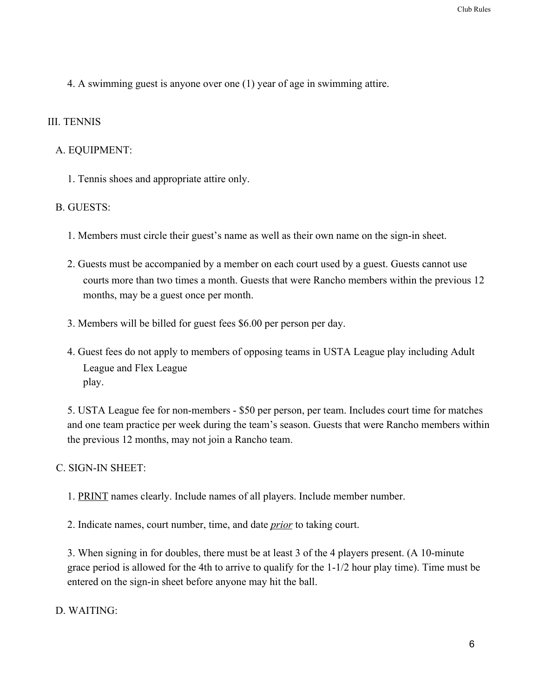4. A swimming guest is anyone over one (1) year of age in swimming attire.

### III. TENNIS

## A. EQUIPMENT:

1. Tennis shoes and appropriate attire only.

## B. GUESTS:

- 1. Members must circle their guest's name as well as their own name on the sign-in sheet.
- 2. Guests must be accompanied by a member on each court used by a guest. Guests cannot use courts more than two times a month. Guests that were Rancho members within the previous 12 months, may be a guest once per month.
- 3. Members will be billed for guest fees \$6.00 per person per day.
- 4. Guest fees do not apply to members of opposing teams in USTA League play including Adult League and Flex League play.

5. USTA League fee for non-members - \$50 per person, per team. Includes court time for matches and one team practice per week during the team's season. Guests that were Rancho members within the previous 12 months, may not join a Rancho team.

#### C. SIGN-IN SHEET:

1. PRINT names clearly. Include names of all players. Include member number.

2. Indicate names, court number, time, and date *prior* to taking court.

3. When signing in for doubles, there must be at least 3 of the 4 players present. (A 10-minute grace period is allowed for the 4th to arrive to qualify for the 1-1/2 hour play time). Time must be entered on the sign-in sheet before anyone may hit the ball.

D. WAITING: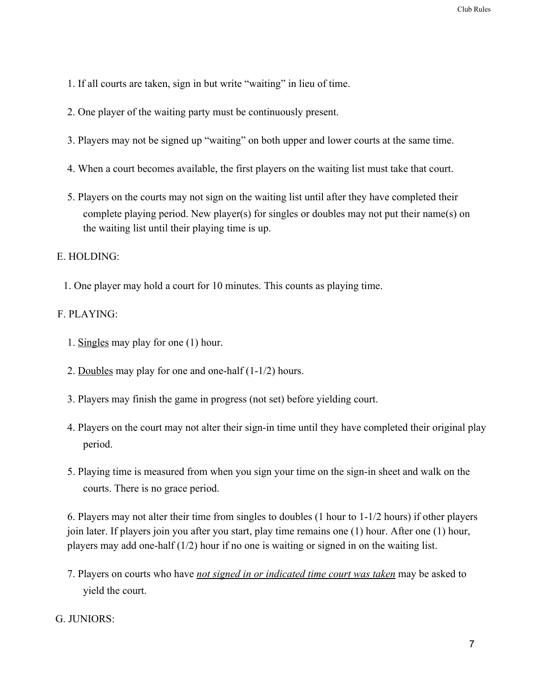- 1. If all courts are taken, sign in but write "waiting" in lieu of time.
- 2. One player of the waiting party must be continuously present.
- 3. Players may not be signed up "waiting" on both upper and lower courts at the same time.
- 4. When a court becomes available, the first players on the waiting list must take that court.
- 5. Players on the courts may not sign on the waiting list until after they have completed their complete playing period. New player(s) for singles or doubles may not put their name(s) on the waiting list until their playing time is up.

# E. HOLDING:

1. One player may hold a court for 10 minutes. This counts as playing time.

# F. PLAYING:

- 1. Singles may play for one (1) hour.
- 2. Doubles may play for one and one-half (1-1/2) hours.
- 3. Players may finish the game in progress (not set) before yielding court.
- 4. Players on the court may not alter their sign-in time until they have completed their original play period.
- 5. Playing time is measured from when you sign your time on the sign-in sheet and walk on the courts. There is no grace period.

6. Players may not alter their time from singles to doubles (1 hour to 1-1/2 hours) if other players join later. If players join you after you start, play time remains one (1) hour. After one (1) hour, players may add one-half (1/2) hour if no one is waiting or signed in on the waiting list.

7. Players on courts who have *not signed in or indicated time court was taken* may be asked to yield the court.

# G. JUNIORS: